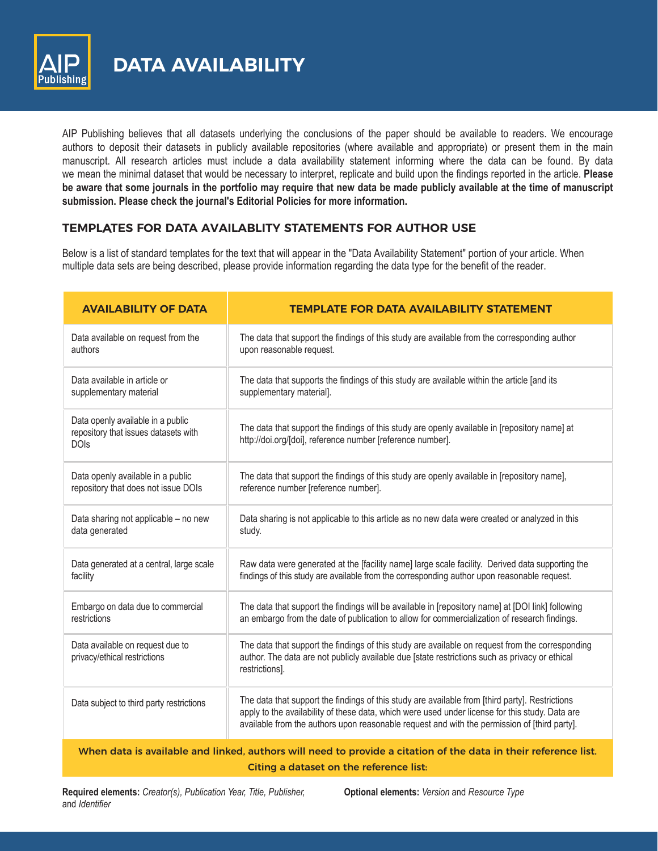

**DATA AVAILABILITY**

AIP Publishing believes that all datasets underlying the conclusions of the paper should be available to readers. We encourage authors to deposit their datasets in publicly available repositories (where available and appropriate) or present them in the main manuscript. All research articles must include a data availability statement informing where the data can be found. By data we mean the minimal dataset that would be necessary to interpret, replicate and build upon the findings reported in the article. **Please be aware that some journals in the portfolio may require that new data be made publicly available at the time of manuscript submission. Please check the journal's Editorial Policies for more information.**

## **TEMPLATES FOR DATA AVAILABLITY STATEMENTS FOR AUTHOR USE**

Below is a list of standard templates for the text that will appear in the "Data Availability Statement" portion of your article. When multiple data sets are being described, please provide information regarding the data type for the benefit of the reader.

| <b>AVAILABILITY OF DATA</b>                                                                                     | <b>TEMPLATE FOR DATA AVAILABILITY STATEMENT</b>                                                                                                                                                                                                                                                    |
|-----------------------------------------------------------------------------------------------------------------|----------------------------------------------------------------------------------------------------------------------------------------------------------------------------------------------------------------------------------------------------------------------------------------------------|
| Data available on request from the                                                                              | The data that support the findings of this study are available from the corresponding author                                                                                                                                                                                                       |
| authors                                                                                                         | upon reasonable request.                                                                                                                                                                                                                                                                           |
| Data available in article or                                                                                    | The data that supports the findings of this study are available within the article [and its                                                                                                                                                                                                        |
| supplementary material                                                                                          | supplementary material].                                                                                                                                                                                                                                                                           |
| Data openly available in a public<br>repository that issues datasets with<br><b>DOIs</b>                        | The data that support the findings of this study are openly available in [repository name] at<br>http://doi.org/[doi], reference number [reference number].                                                                                                                                        |
| Data openly available in a public                                                                               | The data that support the findings of this study are openly available in [repository name],                                                                                                                                                                                                        |
| repository that does not issue DOIs                                                                             | reference number [reference number].                                                                                                                                                                                                                                                               |
| Data sharing not applicable - no new                                                                            | Data sharing is not applicable to this article as no new data were created or analyzed in this                                                                                                                                                                                                     |
| data generated                                                                                                  | study.                                                                                                                                                                                                                                                                                             |
| Data generated at a central, large scale                                                                        | Raw data were generated at the [facility name] large scale facility. Derived data supporting the                                                                                                                                                                                                   |
| facility                                                                                                        | findings of this study are available from the corresponding author upon reasonable request.                                                                                                                                                                                                        |
| Embargo on data due to commercial                                                                               | The data that support the findings will be available in [repository name] at [DOI link] following                                                                                                                                                                                                  |
| restrictions                                                                                                    | an embargo from the date of publication to allow for commercialization of research findings.                                                                                                                                                                                                       |
| Data available on request due to<br>privacy/ethical restrictions                                                | The data that support the findings of this study are available on request from the corresponding<br>author. The data are not publicly available due [state restrictions such as privacy or ethical<br>restrictions].                                                                               |
| Data subject to third party restrictions                                                                        | The data that support the findings of this study are available from [third party]. Restrictions<br>apply to the availability of these data, which were used under license for this study. Data are<br>available from the authors upon reasonable request and with the permission of [third party]. |
| When data is available and linked, authors will need to provide a citation of the data in their reference list. |                                                                                                                                                                                                                                                                                                    |
| Citing a dataset on the reference list:                                                                         |                                                                                                                                                                                                                                                                                                    |